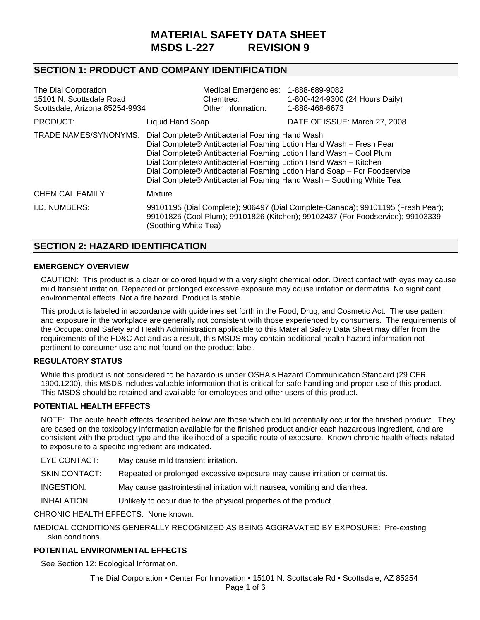# **MATERIAL SAFETY DATA SHEET MSDS L-227 REVISION 9**

# **SECTION 1: PRODUCT AND COMPANY IDENTIFICATION**

| The Dial Corporation<br>15101 N. Scottsdale Road<br>Scottsdale, Arizona 85254-9934 |                                                                                                                                                                                                                                                                                                                                                                                                                | <b>Medical Emergencies:</b><br>Chemtrec:<br>Other Information: | 1-888-689-9082<br>1-800-424-9300 (24 Hours Daily)<br>1-888-468-6673                                                                                               |
|------------------------------------------------------------------------------------|----------------------------------------------------------------------------------------------------------------------------------------------------------------------------------------------------------------------------------------------------------------------------------------------------------------------------------------------------------------------------------------------------------------|----------------------------------------------------------------|-------------------------------------------------------------------------------------------------------------------------------------------------------------------|
| PRODUCT:                                                                           | Liquid Hand Soap                                                                                                                                                                                                                                                                                                                                                                                               |                                                                | DATE OF ISSUE: March 27, 2008                                                                                                                                     |
| TRADE NAMES/SYNONYMS:                                                              | Dial Complete® Antibacterial Foaming Hand Wash<br>Dial Complete® Antibacterial Foaming Lotion Hand Wash - Fresh Pear<br>Dial Complete® Antibacterial Foaming Lotion Hand Wash - Cool Plum<br>Dial Complete® Antibacterial Foaming Lotion Hand Wash - Kitchen<br>Dial Complete® Antibacterial Foaming Lotion Hand Soap - For Foodservice<br>Dial Complete® Antibacterial Foaming Hand Wash - Soothing White Tea |                                                                |                                                                                                                                                                   |
| CHEMICAL FAMILY:                                                                   | Mixture                                                                                                                                                                                                                                                                                                                                                                                                        |                                                                |                                                                                                                                                                   |
| I.D. NUMBERS:                                                                      | (Soothing White Tea)                                                                                                                                                                                                                                                                                                                                                                                           |                                                                | 99101195 (Dial Complete); 906497 (Dial Complete-Canada); 99101195 (Fresh Pear);<br>99101825 (Cool Plum); 99101826 (Kitchen); 99102437 (For Foodservice); 99103339 |

### **SECTION 2: HAZARD IDENTIFICATION**

#### **EMERGENCY OVERVIEW**

CAUTION: This product is a clear or colored liquid with a very slight chemical odor. Direct contact with eyes may cause mild transient irritation. Repeated or prolonged excessive exposure may cause irritation or dermatitis. No significant environmental effects. Not a fire hazard. Product is stable.

This product is labeled in accordance with guidelines set forth in the Food, Drug, and Cosmetic Act. The use pattern and exposure in the workplace are generally not consistent with those experienced by consumers. The requirements of the Occupational Safety and Health Administration applicable to this Material Safety Data Sheet may differ from the requirements of the FD&C Act and as a result, this MSDS may contain additional health hazard information not pertinent to consumer use and not found on the product label.

#### **REGULATORY STATUS**

While this product is not considered to be hazardous under OSHA's Hazard Communication Standard (29 CFR 1900.1200), this MSDS includes valuable information that is critical for safe handling and proper use of this product. This MSDS should be retained and available for employees and other users of this product.

#### **POTENTIAL HEALTH EFFECTS**

NOTE: The acute health effects described below are those which could potentially occur for the finished product. They are based on the toxicology information available for the finished product and/or each hazardous ingredient, and are consistent with the product type and the likelihood of a specific route of exposure. Known chronic health effects related to exposure to a specific ingredient are indicated.

EYE CONTACT:May cause mild transient irritation.

SKIN CONTACT:Repeated or prolonged excessive exposure may cause irritation or dermatitis.

INGESTION:May cause gastrointestinal irritation with nausea, vomiting and diarrhea.

INHALATION:Unlikely to occur due to the physical properties of the product.

CHRONIC HEALTH EFFECTS:None known.

MEDICAL CONDITIONS GENERALLY RECOGNIZED AS BEING AGGRAVATED BY EXPOSURE:Pre-existing skin conditions.

#### **POTENTIAL ENVIRONMENTAL EFFECTS**

See Section 12: Ecological Information.

The Dial Corporation • Center For Innovation • 15101 N. Scottsdale Rd • Scottsdale, AZ 85254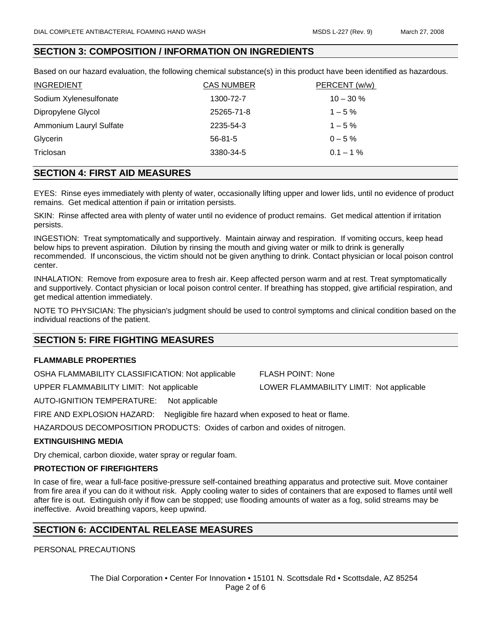### **SECTION 3: COMPOSITION / INFORMATION ON INGREDIENTS**

Based on our hazard evaluation, the following chemical substance(s) in this product have been identified as hazardous.

| <b>INGREDIENT</b>       | <b>CAS NUMBER</b> | PERCENT (w/w) |
|-------------------------|-------------------|---------------|
| Sodium Xylenesulfonate  | 1300-72-7         | $10 - 30 \%$  |
| Dipropylene Glycol      | 25265-71-8        | $1 - 5\%$     |
| Ammonium Lauryl Sulfate | 2235-54-3         | $1 - 5\%$     |
| Glycerin                | $56-81-5$         | $0 - 5 \%$    |
| Triclosan               | 3380-34-5         | $0.1 - 1\%$   |

# **SECTION 4: FIRST AID MEASURES**

EYES:Rinse eyes immediately with plenty of water, occasionally lifting upper and lower lids, until no evidence of product remains. Get medical attention if pain or irritation persists.

SKIN:Rinse affected area with plenty of water until no evidence of product remains. Get medical attention if irritation persists.

INGESTION:Treat symptomatically and supportively. Maintain airway and respiration. If vomiting occurs, keep head below hips to prevent aspiration. Dilution by rinsing the mouth and giving water or milk to drink is generally recommended. If unconscious, the victim should not be given anything to drink. Contact physician or local poison control center.

INHALATION:Remove from exposure area to fresh air. Keep affected person warm and at rest. Treat symptomatically and supportively. Contact physician or local poison control center. If breathing has stopped, give artificial respiration, and get medical attention immediately.

NOTE TO PHYSICIAN: The physician's judgment should be used to control symptoms and clinical condition based on the individual reactions of the patient.

#### **SECTION 5: FIRE FIGHTING MEASURES**

#### **FLAMMABLE PROPERTIES**

OSHA FLAMMABILITY CLASSIFICATION: Not applicable FLASH POINT: None

UPPER FLAMMABILITY LIMIT: Not applicable LOWER FLAMMABILITY LIMIT: Not applicable

AUTO-IGNITION TEMPERATURE: Not applicable

FIRE AND EXPLOSION HAZARD: Negligible fire hazard when exposed to heat or flame.

HAZARDOUS DECOMPOSITION PRODUCTS: Oxides of carbon and oxides of nitrogen.

#### **EXTINGUISHING MEDIA**

Dry chemical, carbon dioxide, water spray or regular foam.

#### **PROTECTION OF FIREFIGHTERS**

In case of fire, wear a full-face positive-pressure self-contained breathing apparatus and protective suit. Move container from fire area if you can do it without risk. Apply cooling water to sides of containers that are exposed to flames until well after fire is out. Extinguish only if flow can be stopped; use flooding amounts of water as a fog, solid streams may be ineffective. Avoid breathing vapors, keep upwind.

### **SECTION 6: ACCIDENTAL RELEASE MEASURES**

PERSONAL PRECAUTIONS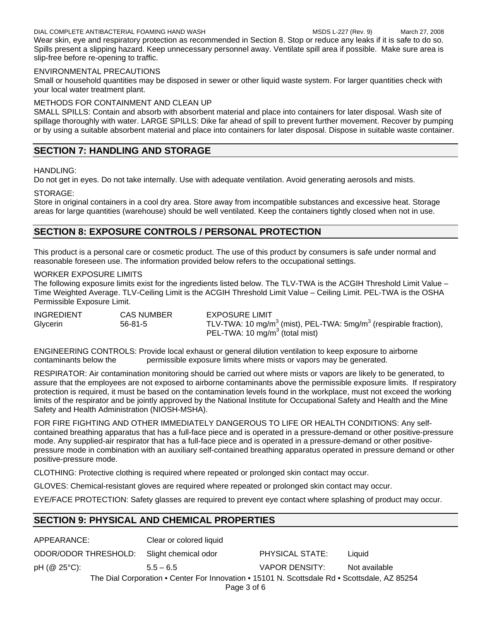#### DIAL COMPLETE ANTIBACTERIAL FOAMING HAND WASH MSDS L-227 (Rev. 9) March 27, 2008

Wear skin, eye and respiratory protection as recommended in Section 8. Stop or reduce any leaks if it is safe to do so. Spills present a slipping hazard. Keep unnecessary personnel away. Ventilate spill area if possible. Make sure area is slip-free before re-opening to traffic.

#### ENVIRONMENTAL PRECAUTIONS

Small or household quantities may be disposed in sewer or other liquid waste system. For larger quantities check with your local water treatment plant.

### METHODS FOR CONTAINMENT AND CLEAN UP

SMALL SPILLS: Contain and absorb with absorbent material and place into containers for later disposal. Wash site of spillage thoroughly with water. LARGE SPILLS: Dike far ahead of spill to prevent further movement. Recover by pumping or by using a suitable absorbent material and place into containers for later disposal. Dispose in suitable waste container.

# **SECTION 7: HANDLING AND STORAGE**

#### HANDLING:

Do not get in eyes. Do not take internally. Use with adequate ventilation. Avoid generating aerosols and mists.

#### STORAGE:

Store in original containers in a cool dry area. Store away from incompatible substances and excessive heat. Storage areas for large quantities (warehouse) should be well ventilated. Keep the containers tightly closed when not in use.

# **SECTION 8: EXPOSURE CONTROLS / PERSONAL PROTECTION**

This product is a personal care or cosmetic product. The use of this product by consumers is safe under normal and reasonable foreseen use. The information provided below refers to the occupational settings.

#### WORKER EXPOSURE LIMITS

The following exposure limits exist for the ingredients listed below. The TLV-TWA is the ACGIH Threshold Limit Value -Time Weighted Average. TLV-Ceiling Limit is the ACGIH Threshold Limit Value – Ceiling Limit. PEL-TWA is the OSHA Permissible Exposure Limit.

| <b>INGREDIENT</b> | CAS NUMBER    | <b>EXPOSURE LIMIT</b>                                                                       |
|-------------------|---------------|---------------------------------------------------------------------------------------------|
| Glycerin          | $56 - 81 - 5$ | TLV-TWA: 10 mg/m <sup>3</sup> (mist), PEL-TWA: $5$ mg/m <sup>3</sup> (respirable fraction), |
|                   |               | PEL-TWA: 10 mg/m <sup>3</sup> (total mist)                                                  |

ENGINEERING CONTROLS: Provide local exhaust or general dilution ventilation to keep exposure to airborne contaminants below the permissible exposure limits where mists or vapors may be generated.

RESPIRATOR: Air contamination monitoring should be carried out where mists or vapors are likely to be generated, to assure that the employees are not exposed to airborne contaminants above the permissible exposure limits. If respiratory protection is required, it must be based on the contamination levels found in the workplace, must not exceed the working limits of the respirator and be jointly approved by the National Institute for Occupational Safety and Health and the Mine Safety and Health Administration (NIOSH-MSHA).

FOR FIRE FIGHTING AND OTHER IMMEDIATELY DANGEROUS TO LIFE OR HEALTH CONDITIONS: Any selfcontained breathing apparatus that has a full-face piece and is operated in a pressure-demand or other positive-pressure mode. Any supplied-air respirator that has a full-face piece and is operated in a pressure-demand or other positivepressure mode in combination with an auxiliary self-contained breathing apparatus operated in pressure demand or other positive-pressure mode.

CLOTHING: Protective clothing is required where repeated or prolonged skin contact may occur.

GLOVES: Chemical-resistant gloves are required where repeated or prolonged skin contact may occur.

EYE/FACE PROTECTION: Safety glasses are required to prevent eye contact where splashing of product may occur.

# **SECTION 9: PHYSICAL AND CHEMICAL PROPERTIES**

| APPEARANCE:                                                                                  | Clear or colored liquid |                 |               |
|----------------------------------------------------------------------------------------------|-------------------------|-----------------|---------------|
| ODOR/ODOR THRESHOLD: Slight chemical odor                                                    |                         | PHYSICAL STATE: | Liauid        |
| pH (@ 25°C):                                                                                 | $5.5 - 6.5$             | VAPOR DENSITY:  | Not available |
| The Dial Corporation • Center For Innovation • 15101 N. Scottsdale Rd • Scottsdale, AZ 85254 |                         |                 |               |
| Page 3 of 6                                                                                  |                         |                 |               |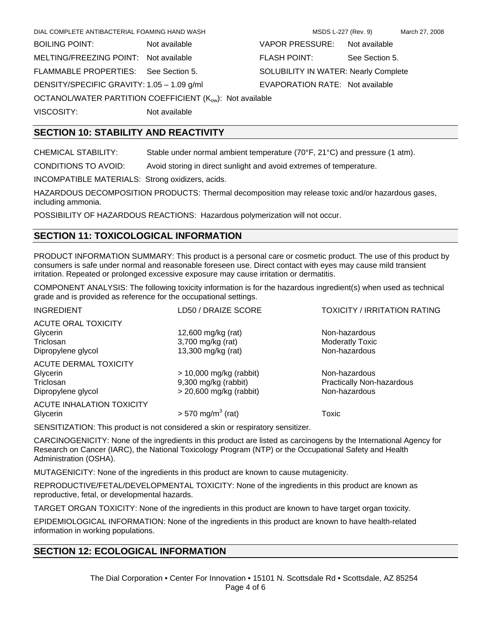| <b>BOILING POINT:</b><br>Not available<br>MELTING/FREEZING POINT: Not available<br>FLAMMABLE PROPERTIES: See Section 5.<br>DENSITY/SPECIFIC GRAVITY: 1.05 - 1.09 g/ml<br>OCTANOL/WATER PARTITION COEFFICIENT (K <sub>ow</sub> ): Not available<br>VISCOSITY:<br>Not available | DIAL COMPLETE ANTIBACTERIAL FOAMING HAND WASH |                |
|-------------------------------------------------------------------------------------------------------------------------------------------------------------------------------------------------------------------------------------------------------------------------------|-----------------------------------------------|----------------|
|                                                                                                                                                                                                                                                                               |                                               | <b>VAPOR</b>   |
|                                                                                                                                                                                                                                                                               |                                               | <b>FLASH F</b> |
|                                                                                                                                                                                                                                                                               |                                               | <b>SOLUBIL</b> |
|                                                                                                                                                                                                                                                                               |                                               | <b>EVAPOR</b>  |
|                                                                                                                                                                                                                                                                               |                                               |                |
|                                                                                                                                                                                                                                                                               |                                               |                |

PRESSURE: Not available POINT: See Section 5. **LITY IN WATER: Nearly Complete** RATION RATE: Not available

### **SECTION 10: STABILITY AND REACTIVITY**

CHEMICAL STABILITY: Stable under normal ambient temperature (70°F, 21°C) and pressure (1 atm).

CONDITIONS TO AVOID: Avoid storing in direct sunlight and avoid extremes of temperature.

INCOMPATIBLE MATERIALS: Strong oxidizers, acids.

HAZARDOUS DECOMPOSITION PRODUCTS: Thermal decomposition may release toxic and/or hazardous gases, including ammonia.

POSSIBILITY OF HAZARDOUS REACTIONS: Hazardous polymerization will not occur.

### **SECTION 11: TOXICOLOGICAL INFORMATION**

PRODUCT INFORMATION SUMMARY: This product is a personal care or cosmetic product. The use of this product by consumers is safe under normal and reasonable foreseen use. Direct contact with eyes may cause mild transient irritation. Repeated or prolonged excessive exposure may cause irritation or dermatitis.

COMPONENT ANALYSIS: The following toxicity information is for the hazardous ingredient(s) when used as technical grade and is provided as reference for the occupational settings.

| <b>INGREDIENT</b>                                                           | LD50 / DRAIZE SCORE                                                            | <b>TOXICITY / IRRITATION RATING</b>                         |
|-----------------------------------------------------------------------------|--------------------------------------------------------------------------------|-------------------------------------------------------------|
| <b>ACUTE ORAL TOXICITY</b><br>Glycerin<br>Triclosan<br>Dipropylene glycol   | 12,600 mg/kg (rat)<br>3,700 mg/kg (rat)<br>13,300 mg/kg (rat)                  | Non-hazardous<br><b>Moderatly Toxic</b><br>Non-hazardous    |
| <b>ACUTE DERMAL TOXICITY</b><br>Glycerin<br>Triclosan<br>Dipropylene glycol | $> 10,000$ mg/kg (rabbit)<br>9,300 mg/kg (rabbit)<br>$>$ 20,600 mg/kg (rabbit) | Non-hazardous<br>Practically Non-hazardous<br>Non-hazardous |
| <b>ACUTE INHALATION TOXICITY</b><br>Glycerin                                | $> 570$ mg/m <sup>3</sup> (rat)                                                | Toxic                                                       |

SENSITIZATION: This product is not considered a skin or respiratory sensitizer.

CARCINOGENICITY: None of the ingredients in this product are listed as carcinogens by the International Agency for Research on Cancer (IARC), the National Toxicology Program (NTP) or the Occupational Safety and Health Administration (OSHA).

MUTAGENICITY: None of the ingredients in this product are known to cause mutagenicity.

REPRODUCTIVE/FETAL/DEVELOPMENTAL TOXICITY: None of the ingredients in this product are known as reproductive, fetal, or developmental hazards.

TARGET ORGAN TOXICITY: None of the ingredients in this product are known to have target organ toxicity.

EPIDEMIOLOGICAL INFORMATION: None of the ingredients in this product are known to have health-related information in working populations.

### **SECTION 12: ECOLOGICAL INFORMATION**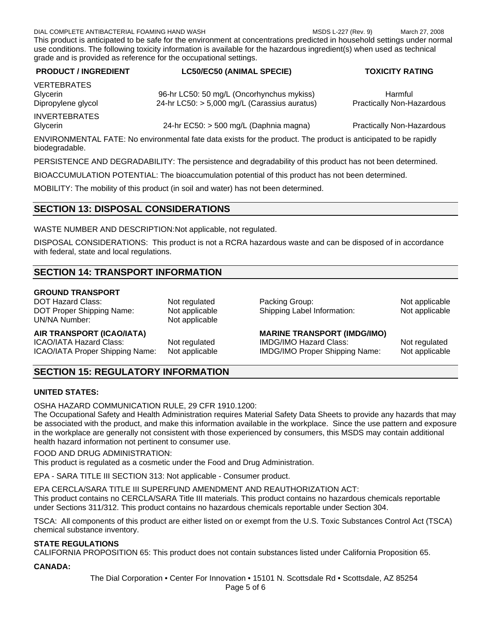DIAL COMPLETE ANTIBACTERIAL FOAMING HAND WASH MSDS L-227 (Rev. 9) March 27, 2008 This product is anticipated to be safe for the environment at concentrations predicted in household settings under normal use conditions. The following toxicity information is available for the hazardous ingredient(s) when used as technical grade and is provided as reference for the occupational settings.

| <b>PRODUCT / INGREDIENT</b>      | <b>LC50/EC50 (ANIMAL SPECIE)</b>                                                          | <b>TOXICITY RATING</b>                             |
|----------------------------------|-------------------------------------------------------------------------------------------|----------------------------------------------------|
| <b>VERTEBRATES</b>               |                                                                                           |                                                    |
| Glycerin<br>Dipropylene glycol   | 96-hr LC50: 50 mg/L (Oncorhynchus mykiss)<br>24-hr LC50: > 5,000 mg/L (Carassius auratus) | <b>Harmful</b><br><b>Practically Non-Hazardous</b> |
|                                  |                                                                                           |                                                    |
| <b>INVERTEBRATES</b><br>Glycerin | 24-hr EC50: > 500 mg/L (Daphnia magna)                                                    | <b>Practically Non-Hazardous</b>                   |

ENVIRONMENTAL FATE: No environmental fate data exists for the product. The product is anticipated to be rapidly biodegradable.

PERSISTENCE AND DEGRADABILITY: The persistence and degradability of this product has not been determined.

BIOACCUMULATION POTENTIAL: The bioaccumulation potential of this product has not been determined.

MOBILITY: The mobility of this product (in soil and water) has not been determined.

### **SECTION 13: DISPOSAL CONSIDERATIONS**

WASTE NUMBER AND DESCRIPTION: Not applicable, not regulated.

DISPOSAL CONSIDERATIONS: This product is not a RCRA hazardous waste and can be disposed of in accordance with federal, state and local regulations.

# **SECTION 14: TRANSPORT INFORMATION**

#### **GROUND TRANSPORT**

UN/NA Number: Not applicable

DOT Hazard Class: Not regulated Packing Group: Not applicable Packing Group: DOT Proper Shipping Name: Not applicable Shipping Label Information: Not applicable

#### **AIR TRANSPORT (ICAO/IATA) MARINE TRANSPORT (IMDG/IMO)**

ICAO/IATA Hazard Class: Not regulated IMDG/IMO Hazard Class: Not regulated ICAO/IATA Proper Shipping Name: Not applicable IMDG/IMO Proper Shipping Name: Not applicable

# **SECTION 15: REGULATORY INFORMATION**

### **UNITED STATES:**

OSHA HAZARD COMMUNICATION RULE, 29 CFR 1910.1200:

The Occupational Safety and Health Administration requires Material Safety Data Sheets to provide any hazards that may be associated with the product, and make this information available in the workplace. Since the use pattern and exposure in the workplace are generally not consistent with those experienced by consumers, this MSDS may contain additional health hazard information not pertinent to consumer use.

FOOD AND DRUG ADMINISTRATION:

This product is regulated as a cosmetic under the Food and Drug Administration.

EPA - SARA TITLE III SECTION 313: Not applicable - Consumer product.

EPA CERCLA/SARA TITLE III SUPERFUND AMENDMENT AND REAUTHORIZATION ACT:

This product contains no CERCLA/SARA Title III materials. This product contains no hazardous chemicals reportable under Sections 311/312. This product contains no hazardous chemicals reportable under Section 304.

TSCA: All components of this product are either listed on or exempt from the U.S. Toxic Substances Control Act (TSCA) chemical substance inventory.

#### **STATE REGULATIONS**

CALIFORNIA PROPOSITION 65: This product does not contain substances listed under California Proposition 65.

**CANADA:**